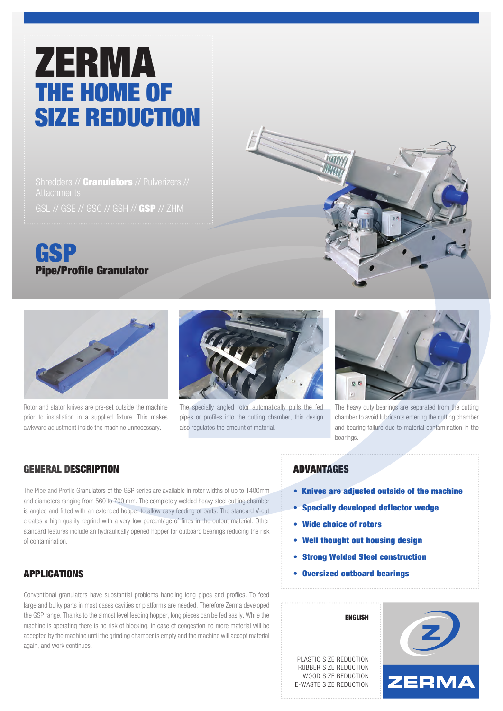# ZERMA THE HOME OF SIZE REDUCTION

Shredders // Granulators // Pulverizers // GSL // GSE // GSC // GSH // GSP // ZHM



Rotor and stator knives are pre-set outside the machine prior to installation in a supplied fixture. This makes awkward adjustment inside the machine unnecessary.



The specially angled rotor automatically pulls the fed pipes or profiles into the cutting chamber, this design also regulates the amount of material.



The heavy duty bearings are separated from the cutting chamber to avoid lubricants entering the cutting chamber and bearing failure due to material contamination in the bearings.

## GENERAL DESCRIPTION

The Pipe and Profile Granulators of the GSP series are available in rotor widths of up to 1400mm and diameters ranging from 560 to 700 mm. The completely welded heavy steel cutting chamber is angled and fitted with an extended hopper to allow easy feeding of parts. The standard V-cut creates a high quality regrind with a very low percentage of fines in the output material. Other standard features include an hydraulically opened hopper for outboard bearings reducing the risk of contamination.

# APPLICATIONS

Conventional granulators have substantial problems handling long pipes and profiles. To feed large and bulky parts in most cases cavities or platforms are needed. Therefore Zerma developed the GSP range. Thanks to the almost level feeding hopper, long pieces can be fed easily. While the machine is operating there is no risk of blocking, in case of congestion no more material will be accepted by the machine until the grinding chamber is empty and the machine will accept material again, and work continues.

#### ADVANTAGES

- Knives are adjusted outside of the machine
- Specially developed deflector wedge
- Wide choice of rotors
- Well thought out housing design
- Strong Welded Steel construction
- Oversized outboard bearings